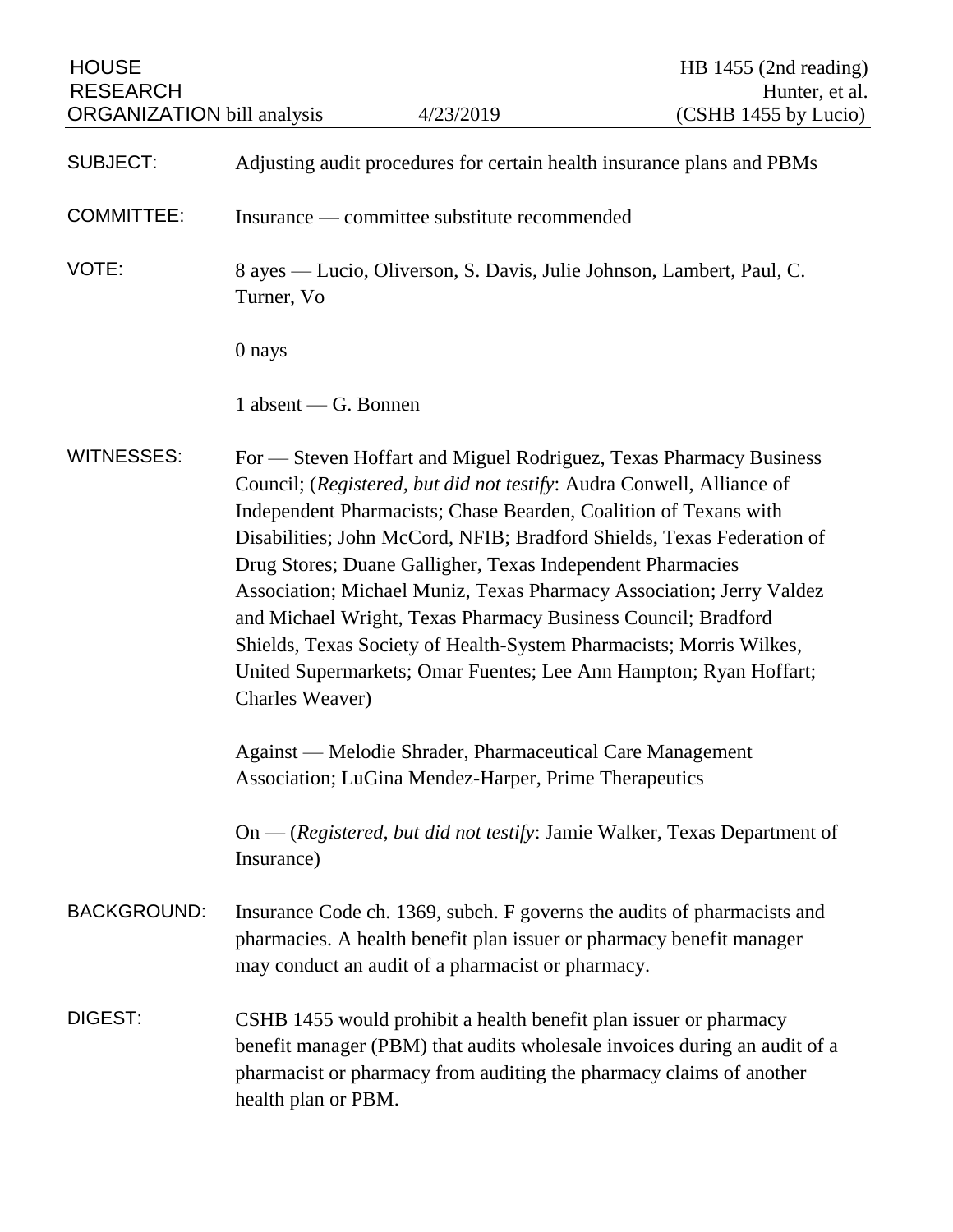| <b>HOUSE</b><br><b>RESEARCH</b><br><b>ORGANIZATION</b> bill analysis |                                                                                                                                                                                                                                                                                                                                                                                                                                                                                                                                                                                                                                                                 | 4/23/2019                                                                                                          | HB $1455$ (2nd reading)<br>Hunter, et al.<br>(CSHB 1455 by Lucio)                                                                                |
|----------------------------------------------------------------------|-----------------------------------------------------------------------------------------------------------------------------------------------------------------------------------------------------------------------------------------------------------------------------------------------------------------------------------------------------------------------------------------------------------------------------------------------------------------------------------------------------------------------------------------------------------------------------------------------------------------------------------------------------------------|--------------------------------------------------------------------------------------------------------------------|--------------------------------------------------------------------------------------------------------------------------------------------------|
| <b>SUBJECT:</b>                                                      | Adjusting audit procedures for certain health insurance plans and PBMs                                                                                                                                                                                                                                                                                                                                                                                                                                                                                                                                                                                          |                                                                                                                    |                                                                                                                                                  |
| <b>COMMITTEE:</b>                                                    | Insurance — committee substitute recommended                                                                                                                                                                                                                                                                                                                                                                                                                                                                                                                                                                                                                    |                                                                                                                    |                                                                                                                                                  |
| VOTE:                                                                | 8 ayes — Lucio, Oliverson, S. Davis, Julie Johnson, Lambert, Paul, C.<br>Turner, Vo                                                                                                                                                                                                                                                                                                                                                                                                                                                                                                                                                                             |                                                                                                                    |                                                                                                                                                  |
|                                                                      | 0 nays                                                                                                                                                                                                                                                                                                                                                                                                                                                                                                                                                                                                                                                          |                                                                                                                    |                                                                                                                                                  |
|                                                                      | 1 absent — G. Bonnen                                                                                                                                                                                                                                                                                                                                                                                                                                                                                                                                                                                                                                            |                                                                                                                    |                                                                                                                                                  |
| <b>WITNESSES:</b>                                                    | For — Steven Hoffart and Miguel Rodriguez, Texas Pharmacy Business<br>Council; (Registered, but did not testify: Audra Conwell, Alliance of<br>Independent Pharmacists; Chase Bearden, Coalition of Texans with<br>Disabilities; John McCord, NFIB; Bradford Shields, Texas Federation of<br>Drug Stores; Duane Galligher, Texas Independent Pharmacies<br>Association; Michael Muniz, Texas Pharmacy Association; Jerry Valdez<br>and Michael Wright, Texas Pharmacy Business Council; Bradford<br>Shields, Texas Society of Health-System Pharmacists; Morris Wilkes,<br>United Supermarkets; Omar Fuentes; Lee Ann Hampton; Ryan Hoffart;<br>Charles Weaver) |                                                                                                                    |                                                                                                                                                  |
|                                                                      |                                                                                                                                                                                                                                                                                                                                                                                                                                                                                                                                                                                                                                                                 | Against — Melodie Shrader, Pharmaceutical Care Management<br>Association; LuGina Mendez-Harper, Prime Therapeutics |                                                                                                                                                  |
|                                                                      | On — (Registered, but did not testify: Jamie Walker, Texas Department of<br>Insurance)                                                                                                                                                                                                                                                                                                                                                                                                                                                                                                                                                                          |                                                                                                                    |                                                                                                                                                  |
| <b>BACKGROUND:</b>                                                   | Insurance Code ch. 1369, subch. F governs the audits of pharmacists and<br>pharmacies. A health benefit plan issuer or pharmacy benefit manager<br>may conduct an audit of a pharmacist or pharmacy.                                                                                                                                                                                                                                                                                                                                                                                                                                                            |                                                                                                                    |                                                                                                                                                  |
| DIGEST:                                                              | health plan or PBM.                                                                                                                                                                                                                                                                                                                                                                                                                                                                                                                                                                                                                                             | CSHB 1455 would prohibit a health benefit plan issuer or pharmacy                                                  | benefit manager (PBM) that audits wholesale invoices during an audit of a<br>pharmacist or pharmacy from auditing the pharmacy claims of another |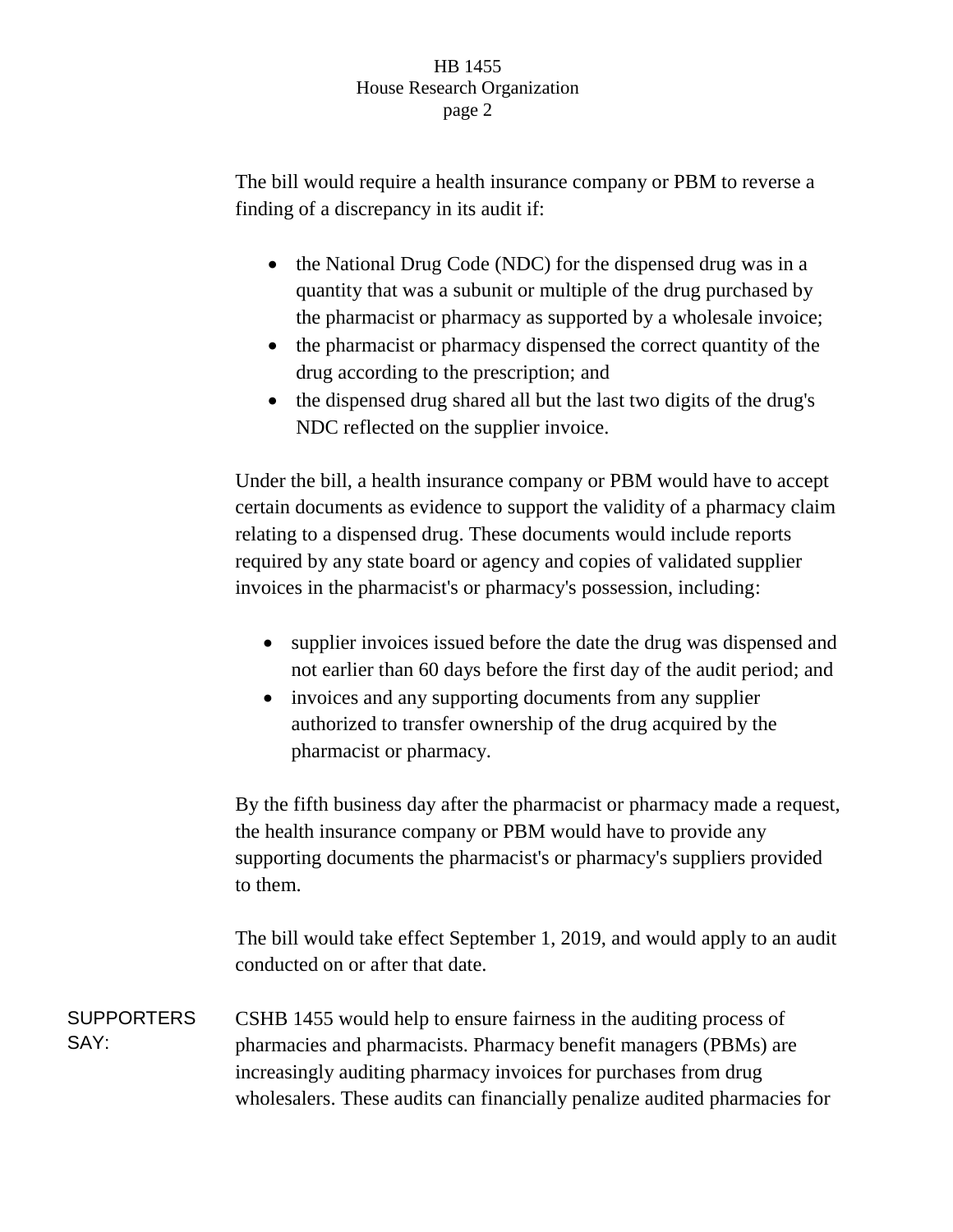## HB 1455 House Research Organization page 2

The bill would require a health insurance company or PBM to reverse a finding of a discrepancy in its audit if:

- the National Drug Code (NDC) for the dispensed drug was in a quantity that was a subunit or multiple of the drug purchased by the pharmacist or pharmacy as supported by a wholesale invoice;
- the pharmacist or pharmacy dispensed the correct quantity of the drug according to the prescription; and
- the dispensed drug shared all but the last two digits of the drug's NDC reflected on the supplier invoice.

Under the bill, a health insurance company or PBM would have to accept certain documents as evidence to support the validity of a pharmacy claim relating to a dispensed drug. These documents would include reports required by any state board or agency and copies of validated supplier invoices in the pharmacist's or pharmacy's possession, including:

- supplier invoices issued before the date the drug was dispensed and not earlier than 60 days before the first day of the audit period; and
- invoices and any supporting documents from any supplier authorized to transfer ownership of the drug acquired by the pharmacist or pharmacy.

By the fifth business day after the pharmacist or pharmacy made a request, the health insurance company or PBM would have to provide any supporting documents the pharmacist's or pharmacy's suppliers provided to them.

The bill would take effect September 1, 2019, and would apply to an audit conducted on or after that date.

**SUPPORTERS** SAY: CSHB 1455 would help to ensure fairness in the auditing process of pharmacies and pharmacists. Pharmacy benefit managers (PBMs) are increasingly auditing pharmacy invoices for purchases from drug wholesalers. These audits can financially penalize audited pharmacies for